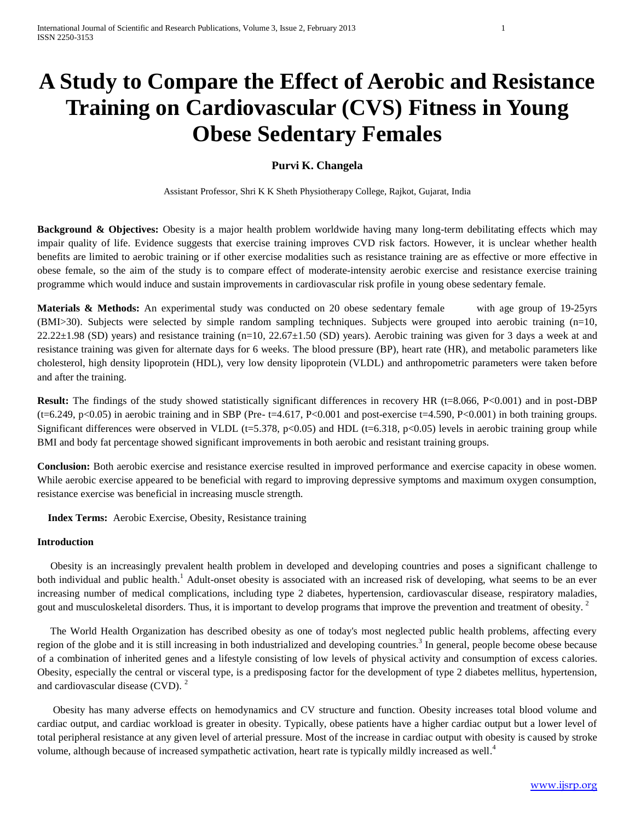# **A Study to Compare the Effect of Aerobic and Resistance Training on Cardiovascular (CVS) Fitness in Young Obese Sedentary Females**

# **Purvi K. Changela**

Assistant Professor, Shri K K Sheth Physiotherapy College, Rajkot, Gujarat, India

**Background & Objectives:** Obesity is a major health problem worldwide having many long-term debilitating effects which may impair quality of life. Evidence suggests that exercise training improves CVD risk factors. However, it is unclear whether health benefits are limited to aerobic training or if other exercise modalities such as resistance training are as effective or more effective in obese female, so the aim of the study is to compare effect of moderate-intensity aerobic exercise and resistance exercise training programme which would induce and sustain improvements in cardiovascular risk profile in young obese sedentary female.

**Materials & Methods:** An experimental study was conducted on 20 obese sedentary female with age group of 19-25yrs (BMI>30). Subjects were selected by simple random sampling techniques. Subjects were grouped into aerobic training (n=10,  $22.22\pm1.98$  (SD) years) and resistance training (n=10, 22.67 $\pm1.50$  (SD) years). Aerobic training was given for 3 days a week at and resistance training was given for alternate days for 6 weeks. The blood pressure (BP), heart rate (HR), and metabolic parameters like cholesterol, high density lipoprotein (HDL), very low density lipoprotein (VLDL) and anthropometric parameters were taken before and after the training.

**Result:** The findings of the study showed statistically significant differences in recovery HR (t=8.066, P<0.001) and in post-DBP  $(t=6.249, p<0.05)$  in aerobic training and in SBP (Pre- t=4.617, P<0.001 and post-exercise t=4.590, P<0.001) in both training groups. Significant differences were observed in VLDL (t=5.378, p<0.05) and HDL (t=6.318, p<0.05) levels in aerobic training group while BMI and body fat percentage showed significant improvements in both aerobic and resistant training groups.

**Conclusion:** Both aerobic exercise and resistance exercise resulted in improved performance and exercise capacity in obese women. While aerobic exercise appeared to be beneficial with regard to improving depressive symptoms and maximum oxygen consumption, resistance exercise was beneficial in increasing muscle strength.

 **Index Terms:** Aerobic Exercise, Obesity, Resistance training

#### **Introduction**

Obesity is an increasingly prevalent health problem in developed and developing countries and poses a significant challenge to both individual and public health.<sup>1</sup> Adult-onset obesity is associated with an increased risk of developing, what seems to be an ever increasing number of medical complications, including type 2 diabetes, hypertension, cardiovascular disease, respiratory maladies, gout and musculoskeletal disorders. Thus, it is important to develop programs that improve the prevention and treatment of obesity.<sup>2</sup>

The World Health Organization has described obesity as one of today's most neglected public health problems, affecting every region of the globe and it is still increasing in both industrialized and developing countries.<sup>3</sup> In general, people become obese because of a combination of inherited genes and a lifestyle consisting of low levels of physical activity and consumption of excess calories. Obesity, especially the central or visceral type, is a predisposing factor for the development of type 2 diabetes mellitus, hypertension, and cardiovascular disease (CVD). <sup>2</sup>

 Obesity has many adverse effects on hemodynamics and CV structure and function. Obesity increases total blood volume and cardiac output, and cardiac workload is greater in obesity. Typically, obese patients have a higher cardiac output but a lower level of total peripheral resistance at any given level of arterial pressure. Most of the increase in cardiac output with obesity is caused by stroke volume, although because of increased sympathetic activation, heart rate is typically mildly increased as well.<sup>4</sup>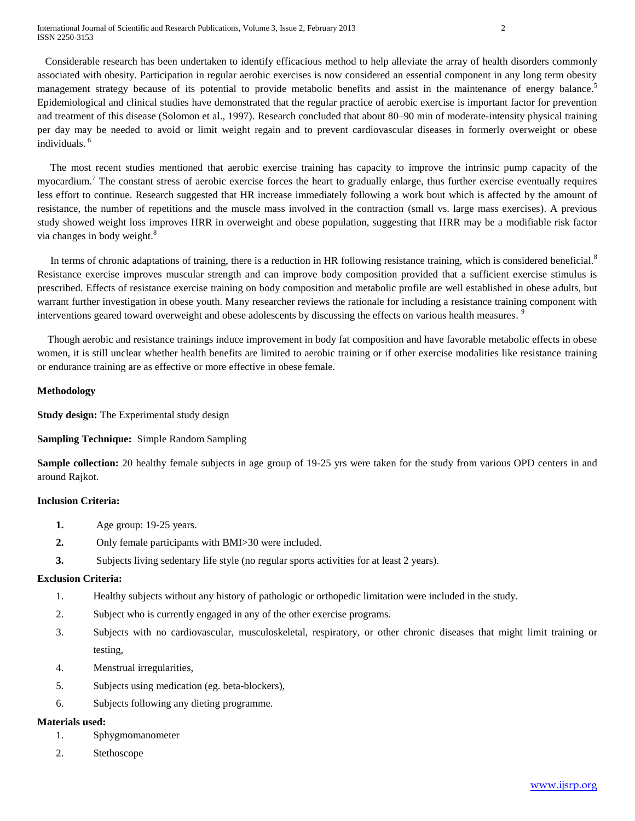Considerable research has been undertaken to identify efficacious method to help alleviate the array of health disorders commonly associated with obesity. Participation in regular aerobic exercises is now considered an essential component in any long term obesity management strategy because of its potential to provide metabolic benefits and assist in the maintenance of energy balance.<sup>5</sup> Epidemiological and clinical studies have demonstrated that the regular practice of aerobic exercise is important factor for prevention and treatment of this disease (Solomon et al., 1997). Research concluded that about 80–90 min of moderate-intensity physical training per day may be needed to avoid or limit weight regain and to prevent cardiovascular diseases in formerly overweight or obese individuals. <sup>6</sup>

 The most recent studies mentioned that aerobic exercise training has capacity to improve the intrinsic pump capacity of the myocardium.<sup>7</sup> The constant stress of aerobic exercise forces the heart to gradually enlarge, thus further exercise eventually requires less effort to continue. Research suggested that HR increase immediately following a work bout which is affected by the amount of resistance, the number of repetitions and the muscle mass involved in the contraction (small vs. large mass exercises). A previous study showed weight loss improves HRR in overweight and obese population, suggesting that HRR may be a modifiable risk factor via changes in body weight.<sup>8</sup>

In terms of chronic adaptations of training, there is a reduction in HR following resistance training, which is considered beneficial.<sup>8</sup> Resistance exercise improves muscular strength and can improve body composition provided that a sufficient exercise stimulus is prescribed. Effects of resistance exercise training on body composition and metabolic profile are well established in obese adults, but warrant further investigation in obese youth. Many researcher reviews the rationale for including a resistance training component with interventions geared toward overweight and obese adolescents by discussing the effects on various health measures.<sup>9</sup>

 Though aerobic and resistance trainings induce improvement in body fat composition and have favorable metabolic effects in obese women, it is still unclear whether health benefits are limited to aerobic training or if other exercise modalities like resistance training or endurance training are as effective or more effective in obese female.

#### **Methodology**

**Study design:** The Experimental study design

# **Sampling Technique:** Simple Random Sampling

**Sample collection:** 20 healthy female subjects in age group of 19-25 yrs were taken for the study from various OPD centers in and around Rajkot.

#### **Inclusion Criteria:**

- **1.** Age group: 19-25 years.
- **2.** Only female participants with BMI>30 were included.
- **3.** Subjects living sedentary life style (no regular sports activities for at least 2 years).

#### **Exclusion Criteria:**

- 1. Healthy subjects without any history of pathologic or orthopedic limitation were included in the study.
- 2. Subject who is currently engaged in any of the other exercise programs.
- 3. Subjects with no cardiovascular, musculoskeletal, respiratory, or other chronic diseases that might limit training or testing,
- 4. Menstrual irregularities,
- 5. Subjects using medication (eg. beta-blockers),
- 6. Subjects following any dieting programme.

#### **Materials used:**

- 1. Sphygmomanometer
- 2. Stethoscope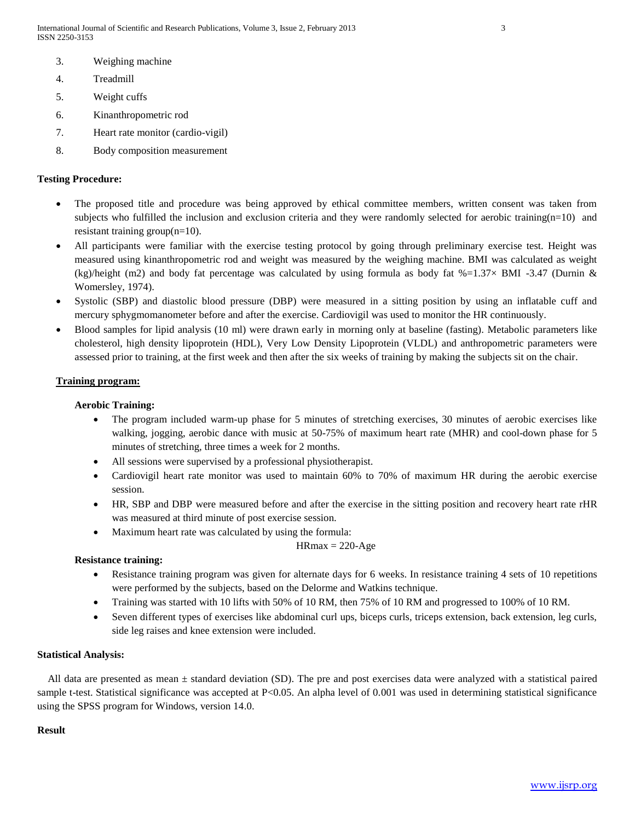- 3. Weighing machine
- 4. Treadmill
- 5. Weight cuffs
- 6. Kinanthropometric rod
- 7. Heart rate monitor (cardio-vigil)
- 8. Body composition measurement

# **Testing Procedure:**

- The proposed title and procedure was being approved by ethical committee members, written consent was taken from subjects who fulfilled the inclusion and exclusion criteria and they were randomly selected for aerobic training $(n=10)$  and resistant training group(n=10).
- All participants were familiar with the exercise testing protocol by going through preliminary exercise test. Height was measured using kinanthropometric rod and weight was measured by the weighing machine. BMI was calculated as weight (kg)/height (m2) and body fat percentage was calculated by using formula as body fat  $%=1.37\times$  BMI -3.47 (Durnin & Womersley, 1974).
- Systolic (SBP) and diastolic blood pressure (DBP) were measured in a sitting position by using an inflatable cuff and mercury sphygmomanometer before and after the exercise. Cardiovigil was used to monitor the HR continuously.
- Blood samples for lipid analysis (10 ml) were drawn early in morning only at baseline (fasting). Metabolic parameters like cholesterol, high density lipoprotein (HDL), Very Low Density Lipoprotein (VLDL) and anthropometric parameters were assessed prior to training, at the first week and then after the six weeks of training by making the subjects sit on the chair.

# **Training program:**

# **Aerobic Training:**

- The program included warm-up phase for 5 minutes of stretching exercises, 30 minutes of aerobic exercises like walking, jogging, aerobic dance with music at 50-75% of maximum heart rate (MHR) and cool-down phase for 5 minutes of stretching, three times a week for 2 months.
- All sessions were supervised by a professional physiotherapist.
- Cardiovigil heart rate monitor was used to maintain 60% to 70% of maximum HR during the aerobic exercise session.
- HR, SBP and DBP were measured before and after the exercise in the sitting position and recovery heart rate rHR was measured at third minute of post exercise session.
- Maximum heart rate was calculated by using the formula:

$$
HRmax = 220 \text{-} Age
$$

# **Resistance training:**

- Resistance training program was given for alternate days for 6 weeks. In resistance training 4 sets of 10 repetitions were performed by the subjects, based on the Delorme and Watkins technique.
- Training was started with 10 lifts with 50% of 10 RM, then 75% of 10 RM and progressed to 100% of 10 RM.
- Seven different types of exercises like abdominal curl ups, biceps curls, triceps extension, back extension, leg curls, side leg raises and knee extension were included.

## **Statistical Analysis:**

 All data are presented as mean ± standard deviation (SD). The pre and post exercises data were analyzed with a statistical paired sample t-test. Statistical significance was accepted at P<0.05. An alpha level of 0.001 was used in determining statistical significance using the SPSS program for Windows, version 14.0.

## **Result**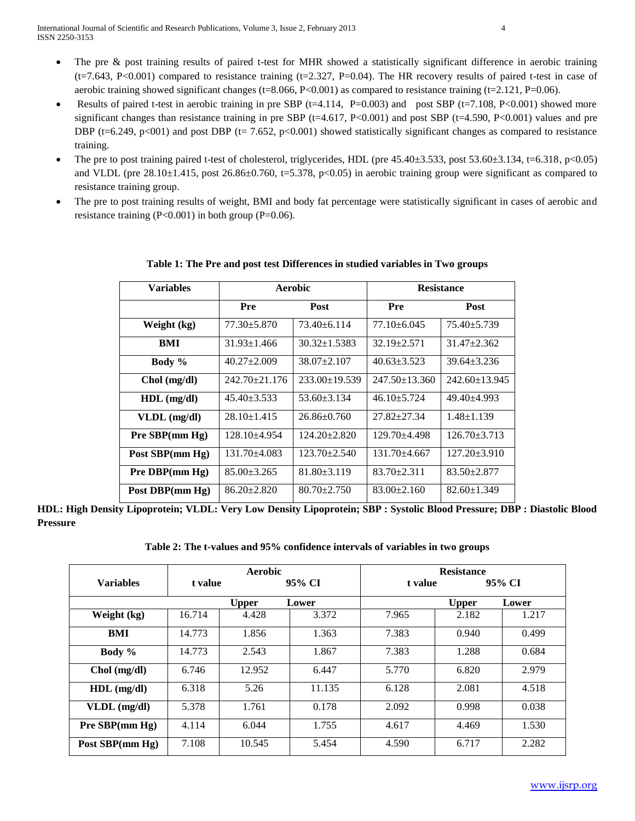- Results of paired t-test in aerobic training in pre SBP ( $t=4.114$ , P=0.003) and post SBP ( $t=7.108$ , P<0.001) showed more significant changes than resistance training in pre SBP ( $t=4.617$ , P<0.001) and post SBP ( $t=4.590$ , P<0.001) values and pre DBP (t=6.249, p<001) and post DBP (t= 7.652, p<0.001) showed statistically significant changes as compared to resistance training.
- The pre to post training paired t-test of cholesterol, triglycerides, HDL (pre  $45.40\pm3.533$ , post  $53.60\pm3.134$ ,  $t=6.318$ ,  $p<0.05$ ) and VLDL (pre  $28.10\pm1.415$ , post  $26.86\pm0.760$ , t=5.378, p<0.05) in aerobic training group were significant as compared to resistance training group.
- The pre to post training results of weight, BMI and body fat percentage were statistically significant in cases of aerobic and resistance training  $(P<0.001)$  in both group  $(P=0.06)$ .

| Variables       | Aerobic             |                     | <b>Resistance</b>   |                     |  |
|-----------------|---------------------|---------------------|---------------------|---------------------|--|
|                 | Post<br>Pre         |                     | Pre                 | Post                |  |
| Weight (kg)     | $77.30 \pm 5.870$   | $73.40 + 6.114$     | $77.10 \pm 6.045$   | $75.40 \pm 5.739$   |  |
| <b>BMI</b>      | $31.93 \pm 1.466$   | $30.32 \pm 1.5383$  | $32.19 \pm 2.571$   | $31.47 \pm 2.362$   |  |
| Body $%$        | $40.27 \pm 2.009$   | $38.07 \pm 2.107$   | $40.63 \pm 3.523$   | $39.64 \pm 3.236$   |  |
| $Chol$ (mg/dl)  | $242.70 \pm 21.176$ | $233.00 \pm 19.539$ | $247.50 \pm 13.360$ | $242.60 \pm 13.945$ |  |
| $HDL$ (mg/dl)   | $45.40 \pm 3.533$   | $53.60 \pm 3.134$   | $46.10 \pm 5.724$   | $49.40 + 4.993$     |  |
| $VLDL$ (mg/dl)  | $28.10 \pm 1.415$   | $26.86 \pm 0.760$   | $27.82 + 27.34$     | $1.48 \pm 1.139$    |  |
| Pre SBP(mm Hg)  | $128.10 + 4.954$    | $124.20 \pm 2.820$  | $129.70 + 4.498$    | $126.70 \pm 3.713$  |  |
| Post SBP(mm Hg) | $131.70 + 4.083$    | $123.70 \pm 2.540$  | $131.70 + 4.667$    | $127.20 \pm 3.910$  |  |
| Pre DBP(mm Hg)  | $85.00 \pm 3.265$   | $81.80 \pm 3.119$   | $83.70 \pm 2.311$   | $83.50 \pm 2.877$   |  |
| Post DBP(mm Hg) | $86.20 \pm 2.820$   | $80.70 \pm 2.750$   | $83.00 \pm 2.160$   | $82.60 \pm 1.349$   |  |

# **Table 1: The Pre and post test Differences in studied variables in Two groups**

**HDL: High Density Lipoprotein; VLDL: Very Low Density Lipoprotein; SBP : Systolic Blood Pressure; DBP : Diastolic Blood Pressure**

**Table 2: The t-values and 95% confidence intervals of variables in two groups**

|                  |        | Aerobic           |        | <b>Resistance</b> |              |       |  |
|------------------|--------|-------------------|--------|-------------------|--------------|-------|--|
| <b>Variables</b> |        | 95% CI<br>t value |        | 95% CI<br>t value |              |       |  |
|                  |        | <b>Upper</b>      | Lower  |                   | <b>Upper</b> | Lower |  |
| Weight (kg)      | 16.714 | 4.428             | 3.372  | 7.965             | 2.182        | 1.217 |  |
| BMI              | 14.773 | 1.856             | 1.363  | 7.383             | 0.940        | 0.499 |  |
| Body %           | 14.773 | 2.543             | 1.867  | 7.383             | 1.288        | 0.684 |  |
| $Chol$ (mg/dl)   | 6.746  | 12.952            | 6.447  | 5.770             | 6.820        | 2.979 |  |
| $HDL$ (mg/dl)    | 6.318  | 5.26              | 11.135 | 6.128             | 2.081        | 4.518 |  |
| VLDL (mg/dl)     | 5.378  | 1.761             | 0.178  | 2.092             | 0.998        | 0.038 |  |
| $Pre$ SBP(mm Hg) | 4.114  | 6.044             | 1.755  | 4.617             | 4.469        | 1.530 |  |
| Post SBP(mm Hg)  | 7.108  | 10.545            | 5.454  | 4.590             | 6.717        | 2.282 |  |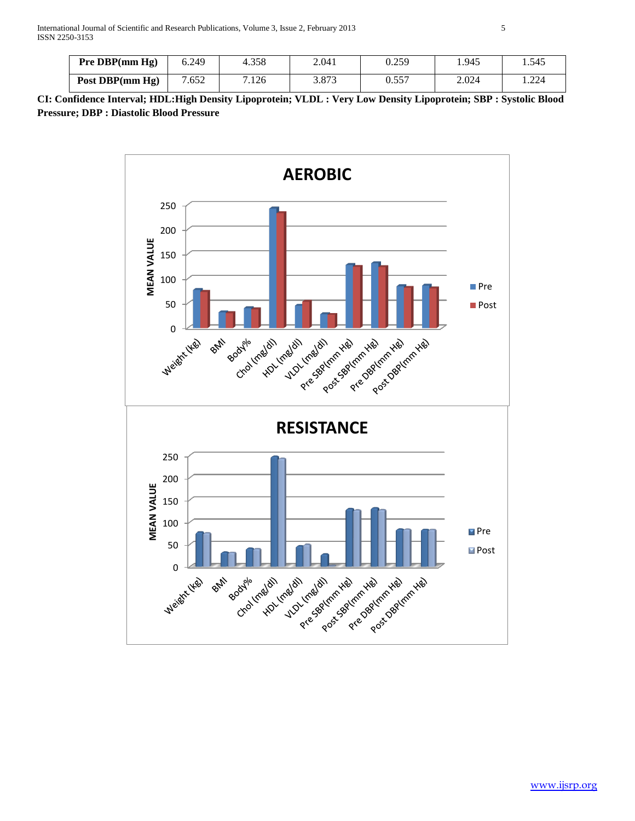| Pre DBP/mm Hg)  | 6.249 | 4.358 | 2.041 | 0.259 | 1.945 | 1.545                      |
|-----------------|-------|-------|-------|-------|-------|----------------------------|
| Post DBP(mm Hg) | .652  | 7.126 | 3.873 | 0.557 | 2.024 | $\Omega$<br>مطلب المتعالية |

**CI: Confidence Interval; HDL:High Density Lipoprotein; VLDL : Very Low Density Lipoprotein; SBP : Systolic Blood Pressure; DBP : Diastolic Blood Pressure**

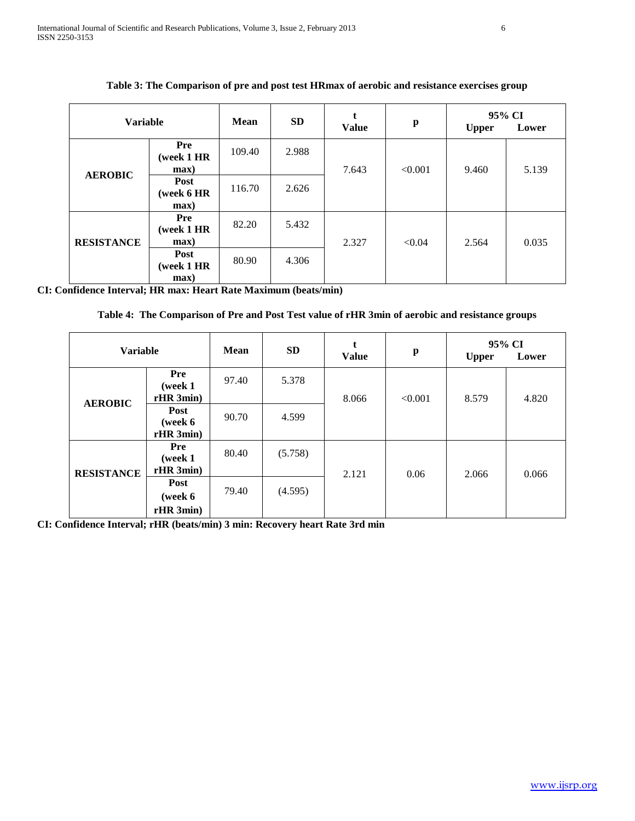| <b>Variable</b>   |                                     | <b>Mean</b> | <b>SD</b> | <b>Value</b> | $\mathbf{p}$ | 95% CI<br><b>Upper</b> | Lower |
|-------------------|-------------------------------------|-------------|-----------|--------------|--------------|------------------------|-------|
|                   | Pre<br>(week 1 HR<br>$max$ )        | 109.40      | 2.988     | 7.643        | < 0.001      | 9.460                  | 5.139 |
| <b>AEROBIC</b>    | Post<br>(week 6 HR<br>$max$ )       | 116.70      | 2.626     |              |              |                        |       |
| <b>RESISTANCE</b> | <b>Pre</b><br>(week 1 HR<br>$max$ ) | 82.20       | 5.432     | 2.327        | < 0.04       | 2.564                  | 0.035 |
|                   | Post<br>(week 1 HR<br>max)          | 80.90       | 4.306     |              |              |                        |       |

**Table 3: The Comparison of pre and post test HRmax of aerobic and resistance exercises group**

**CI: Confidence Interval; HR max: Heart Rate Maximum (beats/min)**

**Table 4: The Comparison of Pre and Post Test value of rHR 3min of aerobic and resistance groups**

| <b>Variable</b>   |                                    | <b>Mean</b> | <b>SD</b> | <b>Value</b> | $\mathbf{p}$ | <b>Upper</b> | 95% CI<br>Lower |
|-------------------|------------------------------------|-------------|-----------|--------------|--------------|--------------|-----------------|
| <b>AEROBIC</b>    | Pre<br>(week 1<br>rHR 3min)        | 97.40       | 5.378     | 8.066        | < 0.001      | 8.579        | 4.820           |
|                   | Post<br>(week 6<br>rHR 3min)       | 90.70       | 4.599     |              |              |              |                 |
| <b>RESISTANCE</b> | <b>Pre</b><br>(week 1<br>rHR 3min) | 80.40       | (5.758)   | 2.121        | 0.06         | 2.066        | 0.066           |
|                   | Post<br>(week 6)<br>rHR 3min)      | 79.40       | (4.595)   |              |              |              |                 |

**CI: Confidence Interval; rHR (beats/min) 3 min: Recovery heart Rate 3rd min**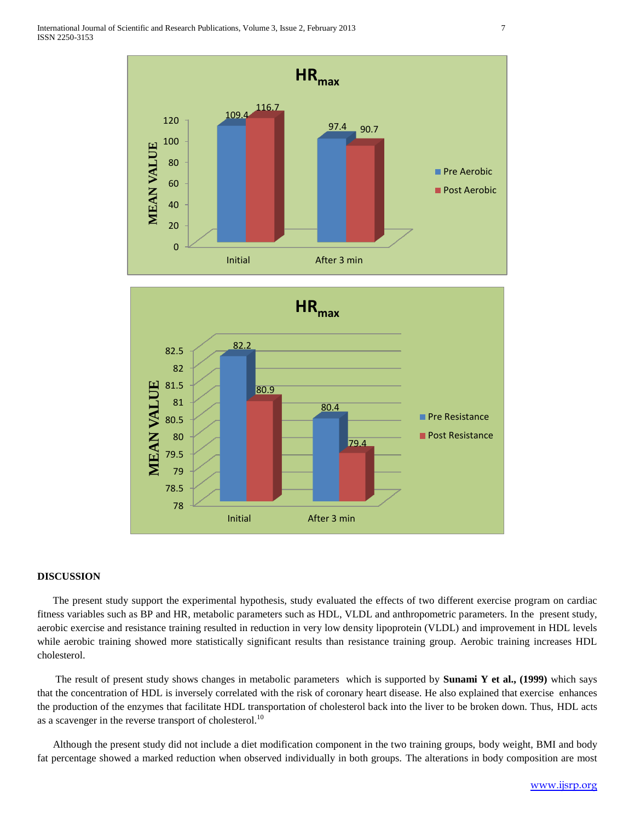



#### **DISCUSSION**

 The present study support the experimental hypothesis, study evaluated the effects of two different exercise program on cardiac fitness variables such as BP and HR, metabolic parameters such as HDL, VLDL and anthropometric parameters. In the present study, aerobic exercise and resistance training resulted in reduction in very low density lipoprotein (VLDL) and improvement in HDL levels while aerobic training showed more statistically significant results than resistance training group. Aerobic training increases HDL cholesterol.

The result of present study shows changes in metabolic parameters which is supported by **Sunami Y et al., (1999)** which says that the concentration of HDL is inversely correlated with the risk of coronary heart disease. He also explained that exercise enhances the production of the enzymes that facilitate HDL transportation of cholesterol back into the liver to be broken down. Thus, HDL acts as a scavenger in the reverse transport of cholesterol.<sup>10</sup>

 Although the present study did not include a diet modification component in the two training groups, body weight, BMI and body fat percentage showed a marked reduction when observed individually in both groups. The alterations in body composition are most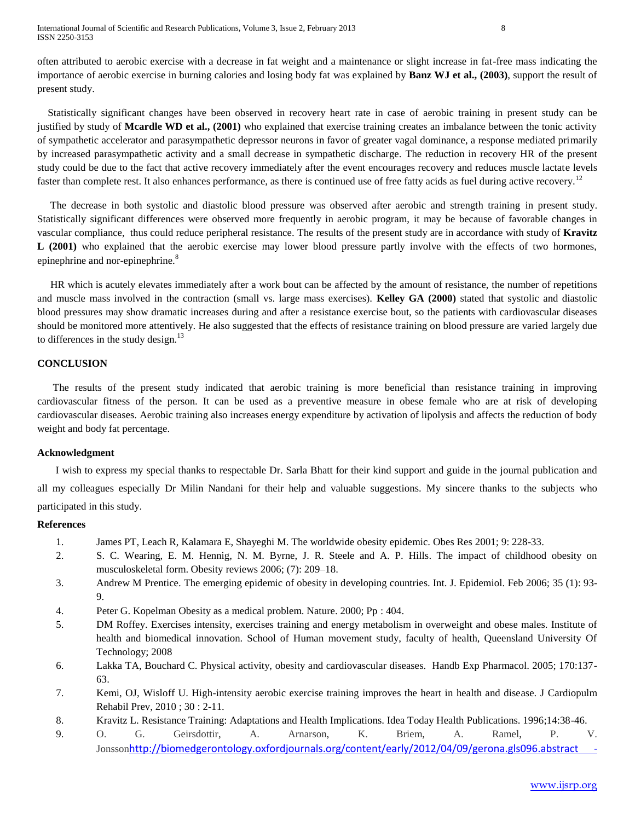often attributed to aerobic exercise with a decrease in fat weight and a maintenance or slight increase in fat-free mass indicating the importance of aerobic exercise in burning calories and losing body fat was explained by **Banz WJ et al., (2003)**, support the result of present study.

 Statistically significant changes have been observed in recovery heart rate in case of aerobic training in present study can be justified by study of **Mcardle WD et al., (2001)** who explained that exercise training creates an imbalance between the tonic activity of sympathetic accelerator and parasympathetic depressor neurons in favor of greater vagal dominance, a response mediated primarily by increased parasympathetic activity and a small decrease in sympathetic discharge. The reduction in recovery HR of the present study could be due to the fact that active recovery immediately after the event encourages recovery and reduces muscle lactate levels faster than complete rest. It also enhances performance, as there is continued use of free fatty acids as fuel during active recovery.<sup>12</sup>

 The decrease in both systolic and diastolic blood pressure was observed after aerobic and strength training in present study. Statistically significant differences were observed more frequently in aerobic program, it may be because of favorable changes in vascular compliance, thus could reduce peripheral resistance. The results of the present study are in accordance with study of **Kravitz L (2001)** who explained that the aerobic exercise may lower blood pressure partly involve with the effects of two hormones, epinephrine and nor-epinephrine.<sup>8</sup>

 HR which is acutely elevates immediately after a work bout can be affected by the amount of resistance, the number of repetitions and muscle mass involved in the contraction (small vs. large mass exercises). **Kelley GA (2000)** stated that systolic and diastolic blood pressures may show dramatic increases during and after a resistance exercise bout, so the patients with cardiovascular diseases should be monitored more attentively. He also suggested that the effects of resistance training on blood pressure are varied largely due to differences in the study design. $^{13}$ 

#### **CONCLUSION**

 The results of the present study indicated that aerobic training is more beneficial than resistance training in improving cardiovascular fitness of the person. It can be used as a preventive measure in obese female who are at risk of developing cardiovascular diseases. Aerobic training also increases energy expenditure by activation of lipolysis and affects the reduction of body weight and body fat percentage.

#### **Acknowledgment**

 I wish to express my special thanks to respectable Dr. Sarla Bhatt for their kind support and guide in the journal publication and all my colleagues especially Dr Milin Nandani for their help and valuable suggestions. My sincere thanks to the subjects who participated in this study.

#### **References**

- 1. James PT, Leach R, Kalamara E, Shayeghi M. The worldwide obesity epidemic. Obes Res 2001; 9: 228-33.
- 2. S. C. Wearing, E. M. Hennig, N. M. Byrne, J. R. Steele and A. P. Hills. The impact of childhood obesity on musculoskeletal form. Obesity reviews 2006; (7): 209–18.
- 3. Andrew M Prentice. The emerging epidemic of obesity in developing countries. Int. J. Epidemiol. Feb 2006; 35 (1): 93- 9.
- 4. Peter G. Kopelman Obesity as a medical problem. Nature. 2000; Pp : 404.
- 5. DM Roffey. Exercises intensity, exercises training and energy metabolism in overweight and obese males. Institute of health and biomedical innovation. School of Human movement study, faculty of health, Queensland University Of Technology; 2008
- 6. Lakka TA, Bouchard C. Physical activity, obesity and cardiovascular diseases. Handb Exp Pharmacol. 2005; 170:137- 63.
- 7. Kemi, OJ, Wisloff U. High-intensity aerobic exercise training improves the heart in health and disease. J Cardiopulm Rehabil Prev, 2010 ; 30 : 2-11.
- 8. Kravitz L. Resistance Training: Adaptations and Health Implications. Idea Today Health Publications. 1996;14:38-46.
- 9. [O. G. Geirsdottir,](http://biomedgerontology.oxfordjournals.org/search?author1=O.+G.+Geirsdottir&sortspec=date&submit=Submit) [A. Arnarson,](http://biomedgerontology.oxfordjournals.org/search?author1=A.+Arnarson&sortspec=date&submit=Submit) [K. Briem,](http://biomedgerontology.oxfordjournals.org/search?author1=K.+Briem&sortspec=date&submit=Submit) [A. Ramel,](http://biomedgerontology.oxfordjournals.org/search?author1=A.+Ramel&sortspec=date&submit=Submit) [P. V.](http://biomedgerontology.oxfordjournals.org/search?author1=P.+V.+Jonsson&sortspec=date&submit=Submit)  [Jonsson](http://biomedgerontology.oxfordjournals.org/search?author1=P.+V.+Jonsson&sortspec=date&submit=Submit)[http://biomedgerontology.oxfordjournals.org/content/early/2012/04/09/gerona.gls096.abstract -](http://biomedgerontology.oxfordjournals.org/content/early/2012/04/09/gerona.gls096.abstract#aff-2)